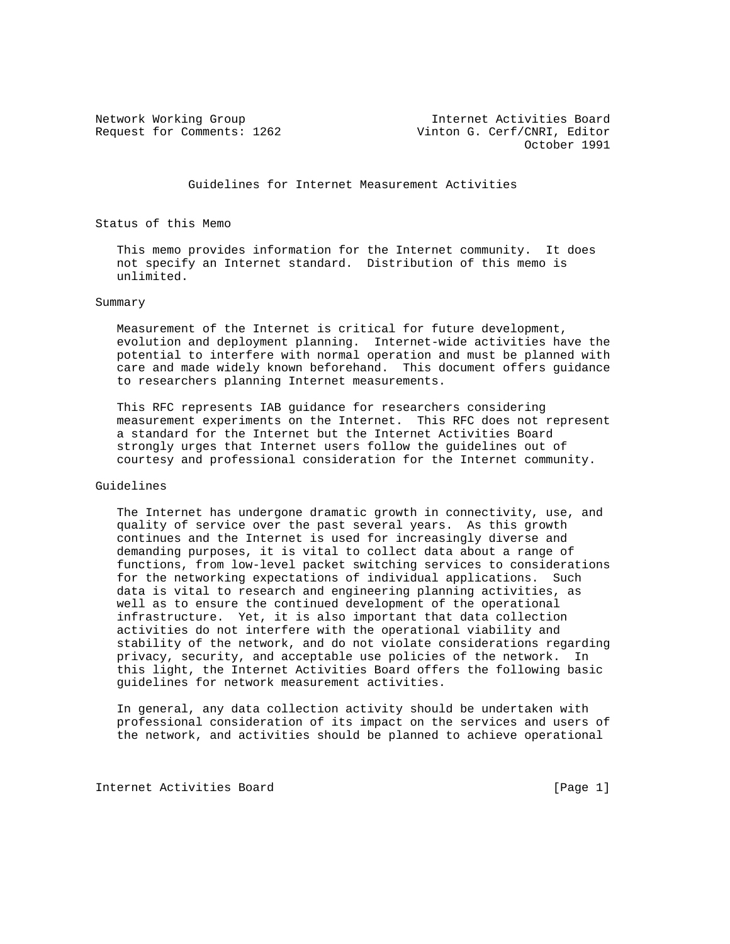Network Working Group Internet Activities Board Request for Comments: 1262 Vinton G. Cerf/CNRI, Editor October 1991

Guidelines for Internet Measurement Activities

Status of this Memo

 This memo provides information for the Internet community. It does not specify an Internet standard. Distribution of this memo is unlimited.

## Summary

 Measurement of the Internet is critical for future development, evolution and deployment planning. Internet-wide activities have the potential to interfere with normal operation and must be planned with care and made widely known beforehand. This document offers guidance to researchers planning Internet measurements.

 This RFC represents IAB guidance for researchers considering measurement experiments on the Internet. This RFC does not represent a standard for the Internet but the Internet Activities Board strongly urges that Internet users follow the guidelines out of courtesy and professional consideration for the Internet community.

## Guidelines

 The Internet has undergone dramatic growth in connectivity, use, and quality of service over the past several years. As this growth continues and the Internet is used for increasingly diverse and demanding purposes, it is vital to collect data about a range of functions, from low-level packet switching services to considerations for the networking expectations of individual applications. Such data is vital to research and engineering planning activities, as well as to ensure the continued development of the operational infrastructure. Yet, it is also important that data collection activities do not interfere with the operational viability and stability of the network, and do not violate considerations regarding privacy, security, and acceptable use policies of the network. In this light, the Internet Activities Board offers the following basic guidelines for network measurement activities.

 In general, any data collection activity should be undertaken with professional consideration of its impact on the services and users of the network, and activities should be planned to achieve operational

Internet Activities Board [Page 1]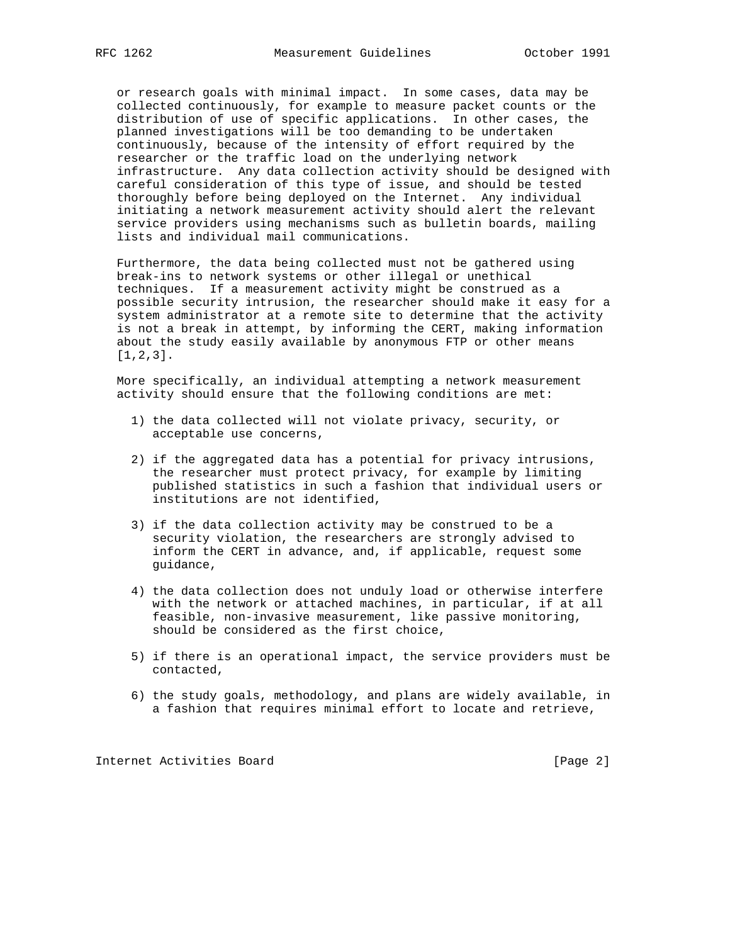or research goals with minimal impact. In some cases, data may be collected continuously, for example to measure packet counts or the distribution of use of specific applications. In other cases, the planned investigations will be too demanding to be undertaken continuously, because of the intensity of effort required by the researcher or the traffic load on the underlying network infrastructure. Any data collection activity should be designed with careful consideration of this type of issue, and should be tested thoroughly before being deployed on the Internet. Any individual initiating a network measurement activity should alert the relevant service providers using mechanisms such as bulletin boards, mailing lists and individual mail communications.

 Furthermore, the data being collected must not be gathered using break-ins to network systems or other illegal or unethical techniques. If a measurement activity might be construed as a possible security intrusion, the researcher should make it easy for a system administrator at a remote site to determine that the activity is not a break in attempt, by informing the CERT, making information about the study easily available by anonymous FTP or other means [1,2,3].

 More specifically, an individual attempting a network measurement activity should ensure that the following conditions are met:

- 1) the data collected will not violate privacy, security, or acceptable use concerns,
- 2) if the aggregated data has a potential for privacy intrusions, the researcher must protect privacy, for example by limiting published statistics in such a fashion that individual users or institutions are not identified,
- 3) if the data collection activity may be construed to be a security violation, the researchers are strongly advised to inform the CERT in advance, and, if applicable, request some guidance,
- 4) the data collection does not unduly load or otherwise interfere with the network or attached machines, in particular, if at all feasible, non-invasive measurement, like passive monitoring, should be considered as the first choice,
- 5) if there is an operational impact, the service providers must be contacted,
- 6) the study goals, methodology, and plans are widely available, in a fashion that requires minimal effort to locate and retrieve,

Internet Activities Board [Page 2]